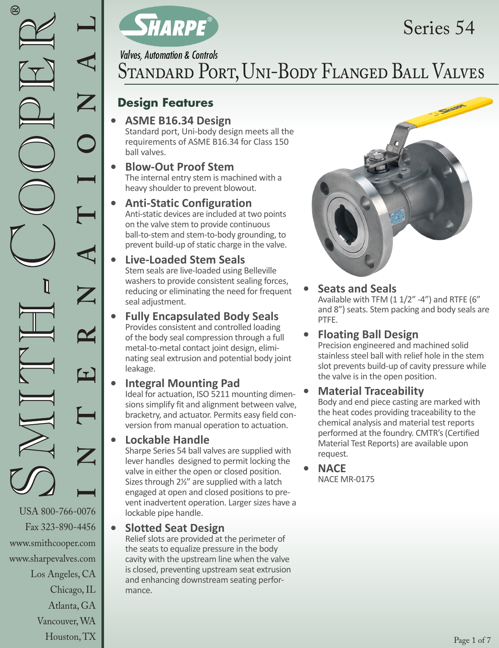www.smithcooper.com www.sharpevalves.com

Los Angeles, CA

Chicago, IL Atlanta, GA Vancouver, WA Houston, TX



# Series 54

**Valves, Automation & Controls** 

# Standard Port, Uni-Body Flanged Ball Valves

### **Design Features**

## **• ASME B16.34 Design**

Standard port, Uni-body design meets all the requirements of ASME B16.34 for Class 150 ball valves.

#### **• Blow-Out Proof Stem** The internal entry stem is machined with a heavy shoulder to prevent blowout.

#### **• Anti-Static Configuration**  Anti-static devices are included at two points on the valve stem to provide continuous ball-to-stem and stem-to-body grounding, to prevent build-up of static charge in the valve.

#### **• Live-Loaded Stem Seals** Stem seals are live-loaded using Belleville washers to provide consistent sealing forces, reducing or eliminating the need for frequent seal adjustment.

#### **• Fully Encapsulated Body Seals**  Provides consistent and controlled loading of the body seal compression through a full metal-to-metal contact joint design, eliminating seal extrusion and potential body joint leakage.

### **• Integral Mounting Pad**

Ideal for actuation, ISO 5211 mounting dimensions simplify fit and alignment between valve, bracketry, and actuator. Permits easy field conversion from manual operation to actuation.

#### **• Lockable Handle**

Sharpe Series 54 ball valves are supplied with lever handles designed to permit locking the valve in either the open or closed position. Sizes through 21/2" are supplied with a latch engaged at open and closed positions to prevent inadvertent operation. Larger sizes have a lockable pipe handle.

#### **• Slotted Seat Design**

Relief slots are provided at the perimeter of the seats to equalize pressure in the body cavity with the upstream line when the valve is closed, preventing upstream seat extrusion and enhancing downstream seating performance.



### **• Seats and Seals**

Available with TFM (1 1/2" -4") and RTFE (6" and 8") seats. Stem packing and body seals are PTFE.

#### **• Floating Ball Design**

Precision engineered and machined solid stainless steel ball with relief hole in the stem slot prevents build-up of cavity pressure while the valve is in the open position.

#### **• Material Traceability**

Body and end piece casting are marked with the heat codes providing traceability to the chemical analysis and material test reports performed at the foundry. CMTR's (Certified Material Test Reports) are available upon request.

**• NACE** NACE MR-0175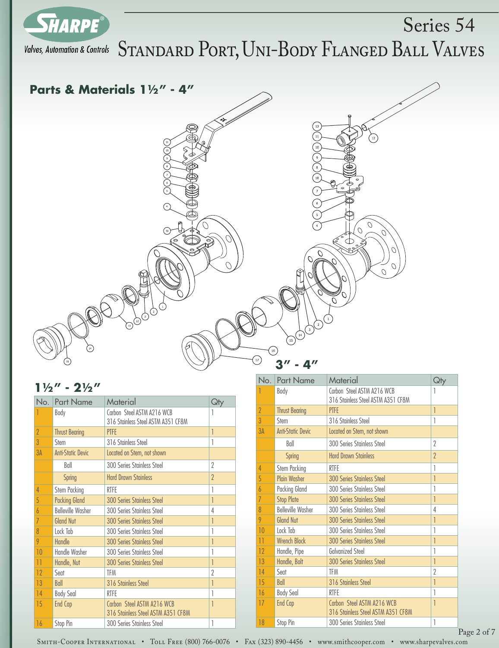



#### $1\frac{1}{2}$ " -  $2\frac{1}{2}$ "

| No.            | <b>Part Name</b>         | Material                                                         | Qły                      |
|----------------|--------------------------|------------------------------------------------------------------|--------------------------|
|                | Body                     | Carbon Steel ASTM A216 WCB<br>316 Stainless Steel ASTM A351 CF8M |                          |
| $\overline{2}$ | <b>Thrust Bearing</b>    | PTFE                                                             | 1                        |
| 3              | Stem                     | 316 Stainless Steel                                              | 1                        |
| 3A             | <b>Anti-Static Devic</b> | Located on Stem, not shown                                       |                          |
|                | Ball                     | 300 Series Stainless Steel                                       | 2                        |
|                | <b>Spring</b>            | <b>Hard Drawn Stainless</b>                                      | $\overline{\phantom{a}}$ |
| 4              | Stem Packing             | RTFF                                                             |                          |
| 5              | <b>Packing Gland</b>     | <b>300 Series Stainless Steel</b>                                | 1                        |
| 6              | <b>Belleville Washer</b> | 300 Series Stainless Steel                                       | 4                        |
| 7              | <b>Gland Nut</b>         | <b>300 Series Stainless Steel</b>                                |                          |
| 8              | Lock Tab                 | 300 Series Stainless Steel                                       | 1                        |
| 9              | Handle                   | <b>300 Series Stainless Steel</b>                                | 1                        |
| 10             | Handle Washer            | 300 Series Stainless Steel                                       |                          |
| 11             | Handle, Nut              | <b>300 Series Stainless Steel</b>                                | 1                        |
| 12             | Sent                     | <b>TFM</b>                                                       | 2                        |
| 13             | Ball                     | 316 Stainless Steel                                              |                          |
| 14             | <b>Body Seal</b>         | RTFF                                                             | 1                        |
| 15             | End Cap                  | Carbon Steel ASTM A216 WCB<br>316 Stainless Steel ASTM A351 CF8M | 1                        |
| 16             | Stop Pin                 | 300 Series Stainless Steel                                       | 1                        |

| No.            | <b>Part Name</b>         | Material                                                         | Qty            |
|----------------|--------------------------|------------------------------------------------------------------|----------------|
|                | Body                     | Carbon Steel ASTM A216 WCB<br>316 Stainless Steel ASTM A351 CF8M | 1              |
| $\overline{2}$ | <b>Thrust Bearing</b>    | <b>PTFF</b>                                                      | $\overline{1}$ |
| 3              | Stem                     | 316 Stainless Steel                                              | 1              |
| 3A             | <b>Anti-Static Devic</b> | Located on Stem, not shown                                       |                |
|                | Ball                     | 300 Series Stainless Steel                                       | 2              |
|                | <b>Spring</b>            | <b>Hard Drawn Stainless</b>                                      | $\gamma$       |
| 4              | Stem Packing             | <b>RTFF</b>                                                      |                |
| 5              | <b>Plain Washer</b>      | <b>300 Series Stainless Steel</b>                                | 1              |
| 6              | <b>Packing Gland</b>     | 300 Series Stainless Steel                                       | 1              |
| 7              | <b>Stop Plate</b>        | <b>300 Series Stainless Steel</b>                                | 1              |
| 8              | <b>Belleville Washer</b> | 300 Series Stainless Steel                                       | 4              |
| 9              | <b>Gland Nut</b>         | <b>300 Series Stainless Steel</b>                                | 1              |
| 10             | Lock Tab                 | 300 Series Stainless Steel                                       | 1              |
| $\bar{1}$      | <b>Wrench Block</b>      | <b>300 Series Stainless Steel</b>                                | 1              |
| 12             | Handle, Pipe             | <b>Galvanized Steel</b>                                          | 1              |
| 13             | Handle, Bolt             | <b>300 Series Stainless Steel</b>                                | 1              |
| 14             | Seat                     | TFM                                                              | $\gamma$       |
| 15             | Ball                     | 316 Stainless Steel                                              | 1              |
| 16             | <b>Body Seal</b>         | <b>RTFF</b>                                                      |                |
| 17             | End Cap                  | Carbon Steel ASTM A216 WCB<br>316 Stainless Steel ASTM A351 CF8M | 1              |
| 18             | Stop Pin                 | 300 Series Stainless Steel                                       | 1              |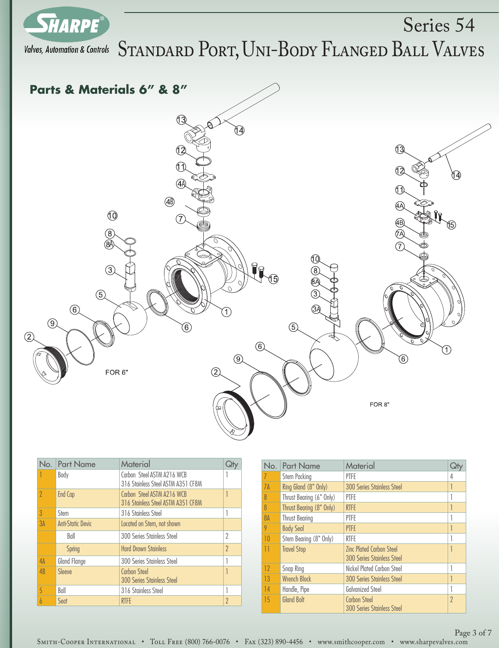

Valves, Automation & Controls  $S$ TANDARD  $P$ ORT, UNI-BODY FLANGED BALL VALVES Series 54



| No.                      | <b>Part Name</b>         | Material                                                         |          |
|--------------------------|--------------------------|------------------------------------------------------------------|----------|
|                          | Body                     | Carbon Steel ASTM A216 WCB<br>316 Stainless Steel ASTM A351 CF8M |          |
| $\overline{\phantom{a}}$ | End Cap                  | Carbon Steel ASTM A216 WCB<br>316 Stainless Steel ASTM A351 CF8M |          |
| 3                        | Stem                     | 316 Stainless Steel                                              |          |
| 3A                       | <b>Anti-Static Devic</b> | Located on Stem, not shown                                       |          |
|                          | Ball                     | 300 Series Stainless Steel                                       | 2        |
|                          | <b>Spring</b>            | <b>Hard Drawn Stainless</b>                                      | $\gamma$ |
| 4A                       | Gland Flange             | 300 Series Stainless Steel                                       |          |
| 4B                       | Sleeve                   | <b>Carbon Steel</b><br><b>300 Series Stainless Steel</b>         |          |
| 5                        | Ball                     | 316 Stainless Steel                                              |          |
|                          | Seat                     | <b>RTFF</b>                                                      | $\gamma$ |

| No.            | <b>Part Name</b>         | Material                                          |          |
|----------------|--------------------------|---------------------------------------------------|----------|
|                | Stem Packing             | PTFE                                              | 4        |
| 7A             | Ring Gland (8" Only)     | <b>300 Series Stainless Steel</b>                 | 1        |
| 8              | Thrust Bearing (6" Only) | PTFE                                              |          |
| $\overline{8}$ | Thrust Bearing (8" Only) | <b>RTFE</b>                                       |          |
| 8A             | <b>Thrust Bearing</b>    | PTFE                                              |          |
| 9              | <b>Body Seal</b>         | <b>PTFE</b>                                       |          |
| 10             | Stem Bearing (8" Only)   | <b>RTFF</b>                                       |          |
| 11             | <b>Travel Stop</b>       | <b>Zinc Plated Carbon Steel</b>                   |          |
|                |                          | <b>300 Series Stainless Steel</b>                 |          |
| 12             | Snap Ring                | Nickel Plated Carbon Steel                        |          |
| 13             | <b>Wrench Block</b>      | <b>300 Series Stainless Steel</b>                 |          |
| 14             | Handle, Pipe             | <b>Galvanized Steel</b>                           |          |
| 15             | <b>Gland Bolt</b>        | Carbon Steel<br><b>300 Series Stainless Steel</b> | $\gamma$ |

Smith-Cooper International • Toll Free (800) 766-0076 • Fax (323) 890-4456 • www.smithcooper.com • www.sharpevalves.com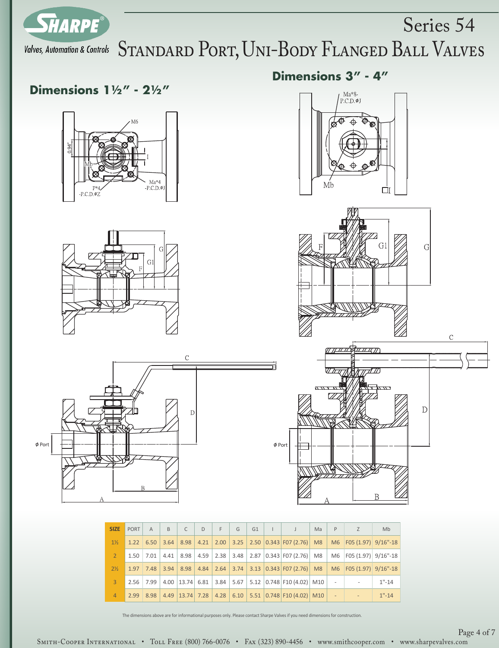

# Valves, Automation & Controls STANDARD PORT, UNI-BODY FLANGED BALL VALVES

**Dimensions 3" - 4"**

 $\mu_{\text{P.C.D.}}^{\text{Ma}^*\$}$ 

### **Dimensions 11/2" - 21/2"**









Series 54

| <b>SIZE</b>    | PORT | $\overline{A}$ | $\overline{B}$ | $\mathsf{C}$ | D | E.                   | G | G1 | $\mathbf{L}$ |                                                                     | Ma | P           | Z                          | <b>Mb</b> |
|----------------|------|----------------|----------------|--------------|---|----------------------|---|----|--------------|---------------------------------------------------------------------|----|-------------|----------------------------|-----------|
| $1\frac{1}{2}$ | 1.22 | 6.50           | 3.64           |              |   | $8.98$   4.21   2.00 |   |    |              | $3.25$   2.50 $\vert 0.343 \vert$ F07 (2.76)   M8                   |    |             | M6   F05 (1.97)   9/16"-18 |           |
| $\overline{2}$ | 1.50 | 7.01           | 4.41           | 8.98         |   |                      |   |    |              | $4.59$   2.38   3.48   2.87   0.343   F07 (2.76)   M8               |    | M6          | $ F05(1.97) $ 9/16"-18     |           |
| $2\frac{1}{2}$ | 1.97 | 7.48           | 3.94           |              |   | $8.98$   4.84   2.64 |   |    |              | $3.74$ 3.13 0.343 F07 (2.76) M8                                     |    |             | M6   F05 (1.97)   9/16"-18 |           |
| $\mathbf{R}$   | 2.56 | 7.99           |                |              |   |                      |   |    |              | 4.00   13.74   6.81   3.84   5.67   5.12   0.748   F10 (4.02)   M10 |    | $\sim$      |                            | $1" - 14$ |
| $\overline{4}$ | 2.99 | 8.98           |                |              |   |                      |   |    |              | 4.49   13.74   7.28   4.28   6.10   5.51   0.748   F10 (4.02)   M10 |    | <b>STEP</b> |                            | $1" - 14$ |

#### The dimensions above are for informational purposes only. Please contact Sharpe Valves if you need dimensions for construction.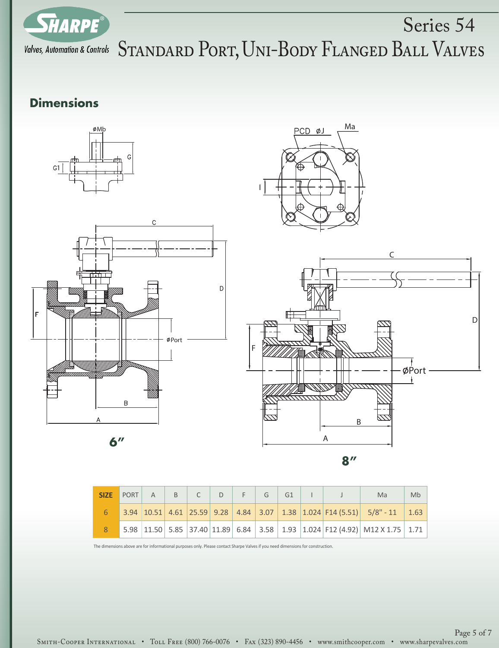

# Series 54 Valves, Automation & Controls STANDARD PORT, UNI-BODY FLANGED BALL VALVES

## **Dimensions**







**8"**

|  | SIZE PORT $A \mid B \mid C \mid D \mid F \mid G \mid G1$ |  |  |  |  | Ma                                                                          | Mb |
|--|----------------------------------------------------------|--|--|--|--|-----------------------------------------------------------------------------|----|
|  |                                                          |  |  |  |  | 3.94 10.51 4.61 25.59 9.28 4.84 3.07 1.38 1.024 F14 (5.51) 5/8" - 11 1.63   |    |
|  |                                                          |  |  |  |  | 5.98 11.50 5.85 37.40 11.89 6.84 3.58 1.93 1.024 F12 (4.92) M12 X 1.75 1.71 |    |

The dimensions above are for informational purposes only. Please contact Sharpe Valves if you need dimensions for construction.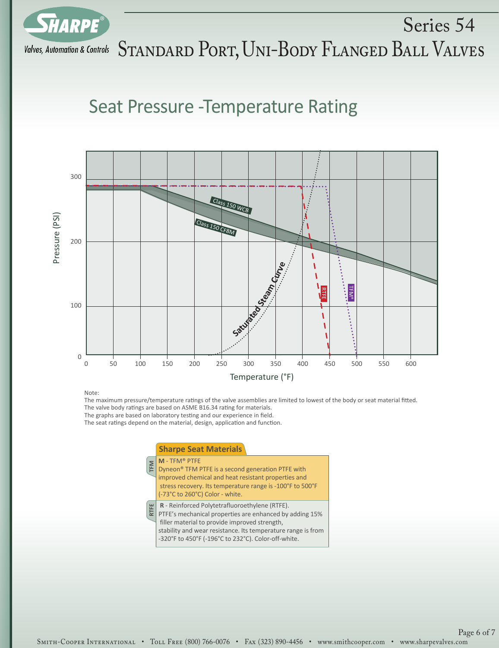

Series 54 Valves, Automation & Controls  $S$ TANDARD  $P$ ORT, UNI-BODY FLANGED BALL VALVES

## Seat Pressure -Temperature Rating



Note:

The maximum pressure/temperature ratings of the valve assemblies are limited to lowest of the body or seat material fitted. The valve body ratings are based on ASME B16.34 rating for materials.

The graphs are based on laboratory testing and our experience in field.

The seat ratings depend on the material, design, application and function.

#### **TFM RTFE M** - TFM® PTFE Dyneon® TFM PTFE is a second generation PTFE with improved chemical and heat resistant properties and stress recovery. Its temperature range is -100°F to 500°F (-73°C to 260°C) Color - white. **R** - Reinforced Polytetrafluoroethylene (RTFE). PTFE's mechanical properties are enhanced by adding 15% filler material to provide improved strength, stability and wear resistance. Its temperature range is from -320°F to 450°F (-196°C to 232°C). Color-off-white. **Sharpe Seat Materials**

Smith-Cooper International • Toll Free (800) 766-0076 • Fax (323) 890-4456 • www.smithcooper.com • www.sharpevalves.com Page 6 of 7